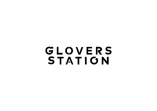# GLOVERS STATION